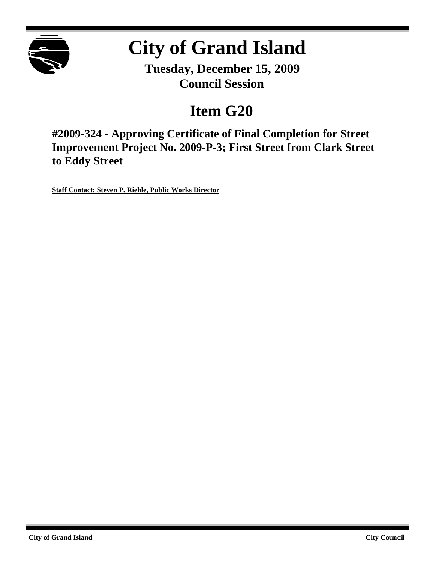

# **City of Grand Island**

**Tuesday, December 15, 2009 Council Session**

## **Item G20**

**#2009-324 - Approving Certificate of Final Completion for Street Improvement Project No. 2009-P-3; First Street from Clark Street to Eddy Street**

**Staff Contact: Steven P. Riehle, Public Works Director**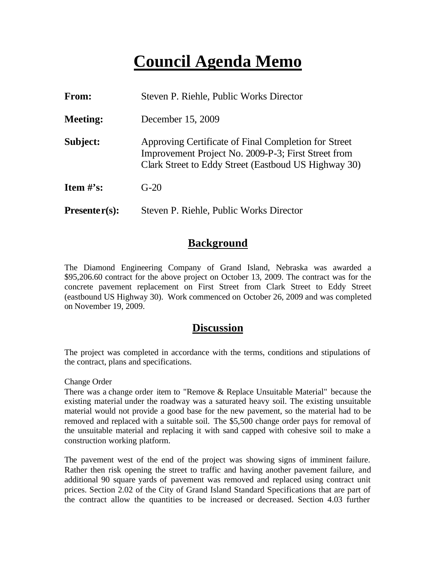## **Council Agenda Memo**

| <b>From:</b>    | Steven P. Riehle, Public Works Director                                                                                                                             |  |  |  |  |
|-----------------|---------------------------------------------------------------------------------------------------------------------------------------------------------------------|--|--|--|--|
| <b>Meeting:</b> | December 15, 2009                                                                                                                                                   |  |  |  |  |
| Subject:        | Approving Certificate of Final Completion for Street<br>Improvement Project No. 2009-P-3; First Street from<br>Clark Street to Eddy Street (Eastboud US Highway 30) |  |  |  |  |
| Item $\#$ 's:   | $G-20$                                                                                                                                                              |  |  |  |  |
| $Presenter(s):$ | Steven P. Riehle, Public Works Director                                                                                                                             |  |  |  |  |

### **Background**

The Diamond Engineering Company of Grand Island, Nebraska was awarded a \$95,206.60 contract for the above project on October 13, 2009. The contract was for the concrete pavement replacement on First Street from Clark Street to Eddy Street (eastbound US Highway 30). Work commenced on October 26, 2009 and was completed on November 19, 2009.

#### **Discussion**

The project was completed in accordance with the terms, conditions and stipulations of the contract, plans and specifications.

Change Order

There was a change order item to "Remove & Replace Unsuitable Material" because the existing material under the roadway was a saturated heavy soil. The existing unsuitable material would not provide a good base for the new pavement, so the material had to be removed and replaced with a suitable soil. The \$5,500 change order pays for removal of the unsuitable material and replacing it with sand capped with cohesive soil to make a construction working platform.

The pavement west of the end of the project was showing signs of imminent failure. Rather then risk opening the street to traffic and having another pavement failure, and additional 90 square yards of pavement was removed and replaced using contract unit prices. Section 2.02 of the City of Grand Island Standard Specifications that are part of the contract allow the quantities to be increased or decreased. Section 4.03 further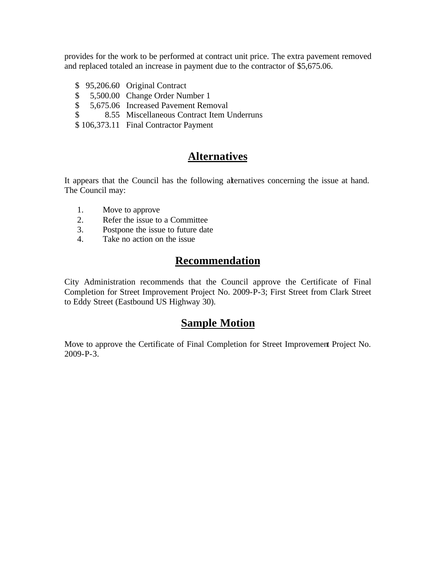provides for the work to be performed at contract unit price. The extra pavement removed and replaced totaled an increase in payment due to the contractor of \$5,675.06.

 \$ 95,206.60 Original Contract \$ 5,500.00 Change Order Number 1 \$ 5,675.06 Increased Pavement Removal \$ 8.55 Miscellaneous Contract Item Underruns \$ 106,373.11 Final Contractor Payment

## **Alternatives**

It appears that the Council has the following alternatives concerning the issue at hand. The Council may:

- 1. Move to approve
- 2. Refer the issue to a Committee
- 3. Postpone the issue to future date
- 4. Take no action on the issue

## **Recommendation**

City Administration recommends that the Council approve the Certificate of Final Completion for Street Improvement Project No. 2009-P-3; First Street from Clark Street to Eddy Street (Eastbound US Highway 30).

### **Sample Motion**

Move to approve the Certificate of Final Completion for Street Improvement Project No. 2009-P-3.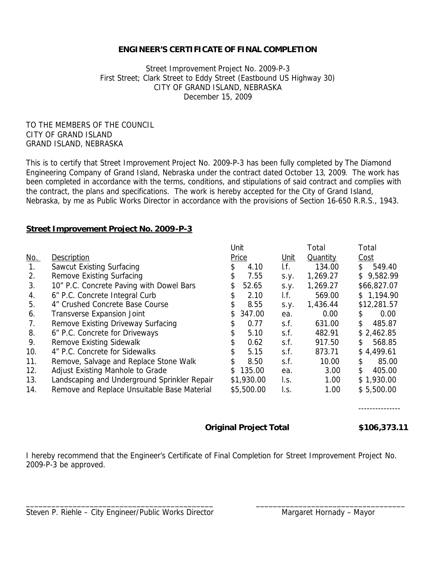#### **ENGINEER'S CERTIFICATE OF FINAL COMPLETION**

Street Improvement Project No. 2009-P-3 First Street; Clark Street to Eddy Street (Eastbound US Highway 30) CITY OF GRAND ISLAND, NEBRASKA December 15, 2009

TO THE MEMBERS OF THE COUNCIL CITY OF GRAND ISLAND GRAND ISLAND, NEBRASKA

This is to certify that Street Improvement Project No. 2009-P-3 has been fully completed by The Diamond Engineering Company of Grand Island, Nebraska under the contract dated October 13, 2009. The work has been completed in accordance with the terms, conditions, and stipulations of said contract and complies with the contract, the plans and specifications. The work is hereby accepted for the City of Grand Island, Nebraska, by me as Public Works Director in accordance with the provisions of Section 16-650 R.R.S., 1943.

#### **Street Improvement Project No. 2009-P-3**

|                |                                              | Unit          |             | Total    | Total          |
|----------------|----------------------------------------------|---------------|-------------|----------|----------------|
| <u>No.</u>     | Description                                  | Price         | <u>Unit</u> | Quantity | Cost           |
| $\mathbf{1}$ . | Sawcut Existing Surfacing                    | 4.10<br>\$    | If.         | 134.00   | 549.40<br>\$   |
| 2.             | Remove Existing Surfacing                    | 7.55<br>S     | S.Y.        | 1,269.27 | 9,582.99<br>\$ |
| 3.             | 10" P.C. Concrete Paving with Dowel Bars     | \$<br>52.65   | S.y.        | 1,269.27 | \$66,827.07    |
| 4.             | 6" P.C. Concrete Integral Curb               | 2.10<br>\$    | I.f.        | 569.00   | \$1,194.90     |
| 5.             | 4" Crushed Concrete Base Course              | 8.55<br>\$    | S.Y.        | 1,436.44 | \$12,281.57    |
| 6.             | Transverse Expansion Joint                   | 347.00<br>\$. | ea.         | 0.00     | 0.00<br>\$.    |
| 7.             | Remove Existing Driveway Surfacing           | 0.77<br>\$    | s.f.        | 631.00   | \$<br>485.87   |
| 8.             | 6" P.C. Concrete for Driveways               | 5.10<br>\$    | s.f.        | 482.91   | \$2,462.85     |
| 9.             | Remove Existing Sidewalk                     | 0.62          | s.f.        | 917.50   | 568.85<br>\$.  |
| 10.            | 4" P.C. Concrete for Sidewalks               | \$<br>5.15    | s.f.        | 873.71   | \$4,499.61     |
| 11.            | Remove, Salvage and Replace Stone Walk       | \$<br>8.50    | s.f.        | 10.00    | 85.00<br>\$    |
| 12.            | Adjust Existing Manhole to Grade             | 135.00<br>\$  | ea.         | 3.00     | \$<br>405.00   |
| 13.            | Landscaping and Underground Sprinkler Repair | \$1,930.00    | I.S.        | 1.00     | \$1,930.00     |
| 14.            | Remove and Replace Unsuitable Base Material  | \$5,500.00    | l.s.        | 1.00     | \$5,500.00     |

---------------

#### **Original Project Total \$106,373.11**

I hereby recommend that the Engineer's Certificate of Final Completion for Street Improvement Project No. 2009-P-3 be approved.

\_\_\_\_\_\_\_\_\_\_\_\_\_\_\_\_\_\_\_\_\_\_\_\_\_\_\_\_\_\_\_\_\_\_\_\_\_\_\_\_\_\_\_\_ \_\_\_\_\_\_\_\_\_\_\_\_\_\_\_\_\_\_\_\_\_\_\_\_\_\_\_\_\_\_\_\_\_\_\_